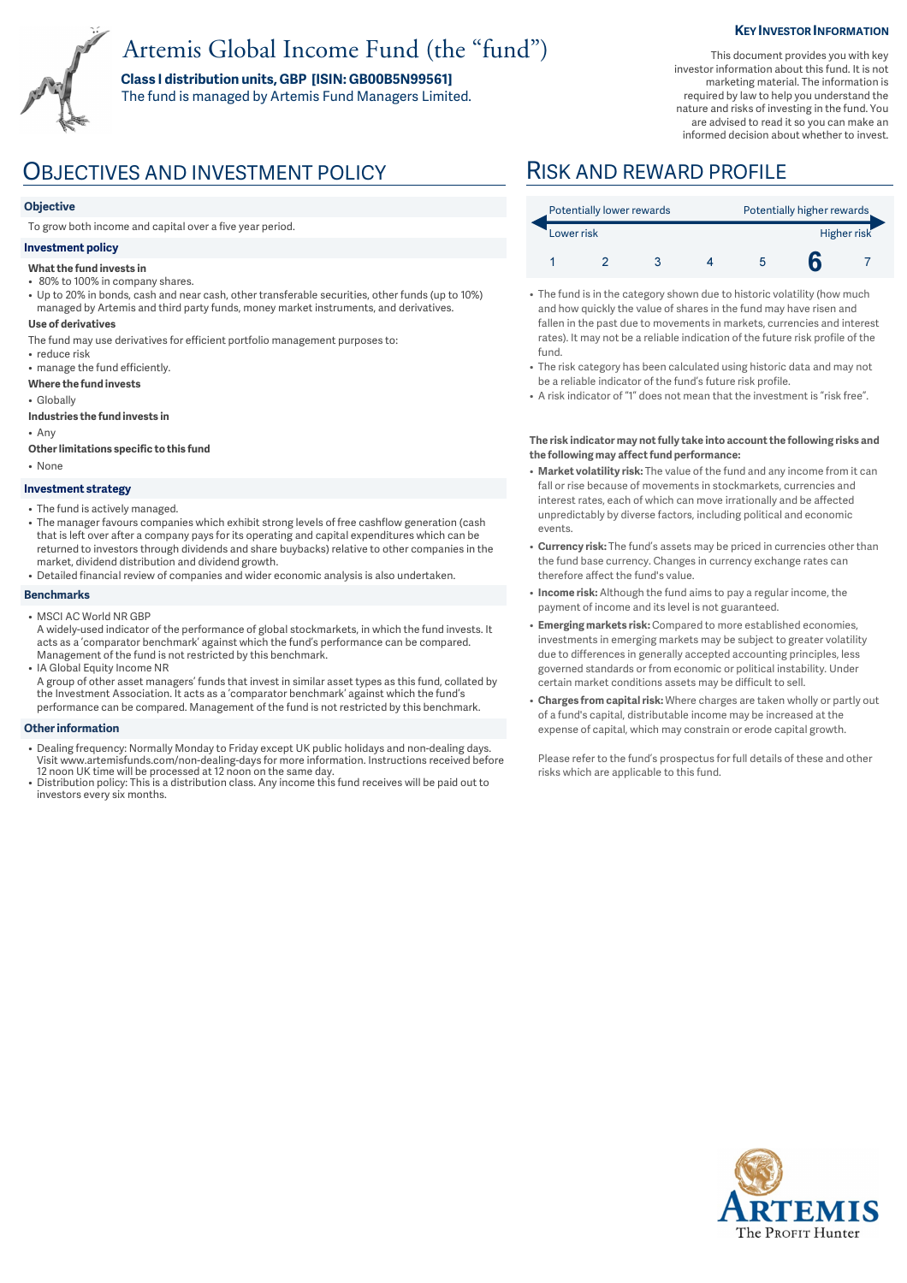# Artemis Global Income Fund (the "fund")

**Class I distribution units, GBP [ISIN: GB00B5N99561]** 

The fund is managed by Artemis Fund Managers Limited.

### **KEY INVESTOR INFORMATION**

This document provides you with key investor information about this fund. It is not marketing material. The information is required by law to help you understand the nature and risks of investing in the fund. You are advised to read it so you can make an informed decision about whether to invest.

## OBJECTIVES AND INVESTMENT POLICY RISK AND REWARD PROFILE

### **Objective**

To grow both income and capital over a five year period.

### **Investment policy**

#### **What the fund invests in**

- 80% to 100% in company shares.
- Up to 20% in bonds, cash and near cash, other transferable securities, other funds (up to 10%) managed by Artemis and third party funds, money market instruments, and derivatives.
- **Use of derivatives**
- The fund may use derivatives for efficient portfolio management purposes to:
- reduce risk • manage the fund efficiently.
- **Where the fund invests**
- Globally
- **Industries the fund invests in**
- Any
- **Other limitations specific to this fund**
- None

#### **Investment strategy**

- The fund is actively managed.
- The manager favours companies which exhibit strong levels of free cashflow generation (cash that is left over after a company pays for its operating and capital expenditures which can be returned to investors through dividends and share buybacks) relative to other companies in the market, dividend distribution and dividend growth.
- Detailed financial review of companies and wider economic analysis is also undertaken.

#### **Benchmarks**

- MSCI AC World NR GBP
- A widely-used indicator of the performance of global stockmarkets, in which the fund invests. It acts as a 'comparator benchmark' against which the fund's performance can be compared. Management of the fund is not restricted by this benchmark.
- IA Global Equity Income NR A group of other asset managers' funds that invest in similar asset types as this fund, collated by the Investment Association. It acts as a 'comparator benchmark' against which the fund's performance can be compared. Management of the fund is not restricted by this benchmark.

#### **Other information**

- Dealing frequency: Normally Monday to Friday except UK public holidays and non-dealing days. Visit www.artemisfunds.com/non-dealing-days for more information. Instructions received before
- 12 noon UK time will be processed at 12 noon on the same day. Distribution policy: This is a distribution class. Any income this fund receives will be paid out to investors every six months.

| Potentially lower rewards |  |  |  | Potentially higher rewards |  |  |
|---------------------------|--|--|--|----------------------------|--|--|
| Lower risk                |  |  |  | Higher risk                |  |  |
|                           |  |  |  |                            |  |  |

- The fund is in the category shown due to historic volatility (how much and how quickly the value of shares in the fund may have risen and fallen in the past due to movements in markets, currencies and interest rates). It may not be a reliable indication of the future risk profile of the fund.
- The risk category has been calculated using historic data and may not be a reliable indicator of the fund's future risk profile.
- A risk indicator of "1" does not mean that the investment is "risk free".

#### **The risk indicator may not fully take into account the following risks and the following may affect fund performance:**

- **Market volatility risk:** The value of the fund and any income from it can fall or rise because of movements in stockmarkets, currencies and interest rates, each of which can move irrationally and be affected unpredictably by diverse factors, including political and economic events.
- **Currency risk:** The fund's assets may be priced in currencies other than the fund base currency. Changes in currency exchange rates can therefore affect the fund's value.
- **Income risk:** Although the fund aims to pay a regular income, the payment of income and its level is not guaranteed.
- **Emerging markets risk:** Compared to more established economies, investments in emerging markets may be subject to greater volatility due to differences in generally accepted accounting principles, less governed standards or from economic or political instability. Under certain market conditions assets may be difficult to sell.
- **Charges from capital risk:** Where charges are taken wholly or partly out of a fund's capital, distributable income may be increased at the expense of capital, which may constrain or erode capital growth.

Please refer to the fund's prospectus for full details of these and other risks which are applicable to this fund.